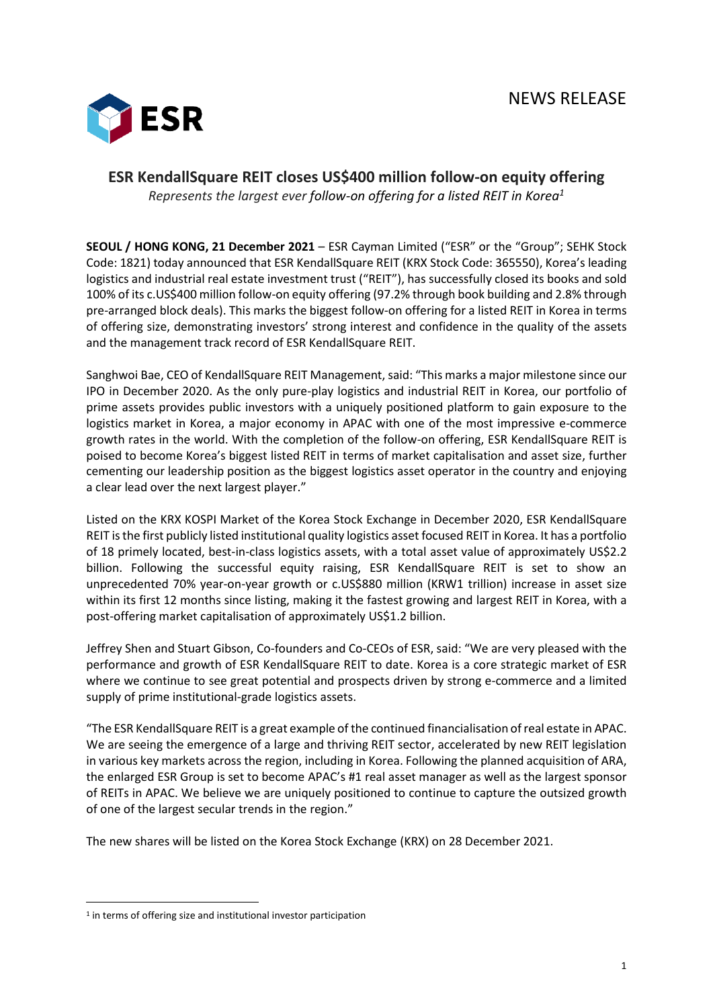

## **ESR KendallSquare REIT closes US\$400 million follow-on equity offering**

*Represents the largest ever follow-on offering for a listed REIT in Korea<sup>1</sup>*

**SEOUL / HONG KONG, 21 December 2021** – ESR Cayman Limited ("ESR" or the "Group"; SEHK Stock Code: 1821) today announced that ESR KendallSquare REIT (KRX Stock Code: 365550), Korea's leading logistics and industrial real estate investment trust ("REIT"), has successfully closed its books and sold 100% of its c.US\$400 million follow-on equity offering (97.2% through book building and 2.8% through pre-arranged block deals). This marks the biggest follow-on offering for a listed REIT in Korea in terms of offering size, demonstrating investors' strong interest and confidence in the quality of the assets and the management track record of ESR KendallSquare REIT.

Sanghwoi Bae, CEO of KendallSquare REIT Management, said: "This marks a major milestone since our IPO in December 2020. As the only pure-play logistics and industrial REIT in Korea, our portfolio of prime assets provides public investors with a uniquely positioned platform to gain exposure to the logistics market in Korea, a major economy in APAC with one of the most impressive e-commerce growth rates in the world. With the completion of the follow-on offering, ESR KendallSquare REIT is poised to become Korea's biggest listed REIT in terms of market capitalisation and asset size, further cementing our leadership position as the biggest logistics asset operator in the country and enjoying a clear lead over the next largest player."

Listed on the KRX KOSPI Market of the Korea Stock Exchange in December 2020, ESR KendallSquare REIT isthe first publicly listed institutional quality logistics asset focused REIT in Korea. It has a portfolio of 18 primely located, best-in-class logistics assets, with a total asset value of approximately US\$2.2 billion. Following the successful equity raising, ESR KendallSquare REIT is set to show an unprecedented 70% year-on-year growth or c.US\$880 million (KRW1 trillion) increase in asset size within its first 12 months since listing, making it the fastest growing and largest REIT in Korea, with a post-offering market capitalisation of approximately US\$1.2 billion.

Jeffrey Shen and Stuart Gibson, Co-founders and Co-CEOs of ESR, said: "We are very pleased with the performance and growth of ESR KendallSquare REIT to date. Korea is a core strategic market of ESR where we continue to see great potential and prospects driven by strong e-commerce and a limited supply of prime institutional-grade logistics assets.

"The ESR KendallSquare REIT is a great example of the continued financialisation of real estate in APAC. We are seeing the emergence of a large and thriving REIT sector, accelerated by new REIT legislation in various key markets across the region, including in Korea. Following the planned acquisition of ARA, the enlarged ESR Group is set to become APAC's #1 real asset manager as well as the largest sponsor of REITs in APAC. We believe we are uniquely positioned to continue to capture the outsized growth of one of the largest secular trends in the region."

The new shares will be listed on the Korea Stock Exchange (KRX) on 28 December 2021.

<sup>&</sup>lt;sup>1</sup> in terms of offering size and institutional investor participation